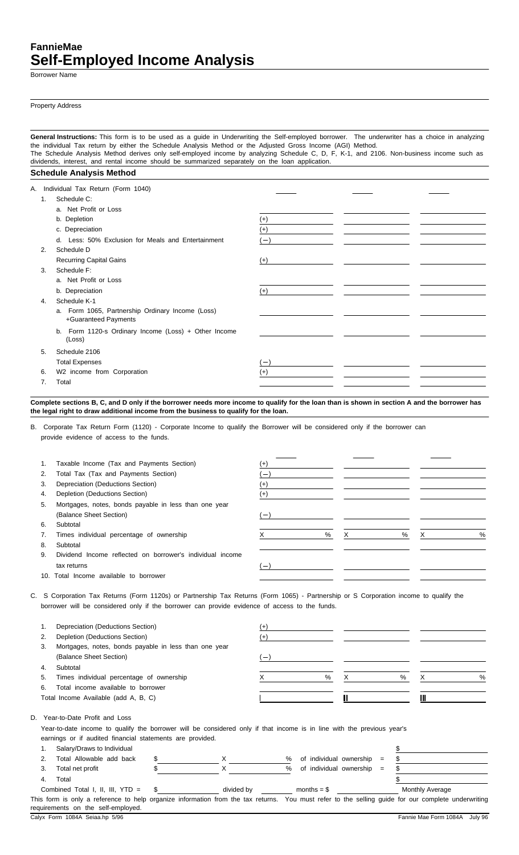# **FannieMae Self-Employed Income Analysis**

Borrower Name

Property Address

**General Instructions:** This form is to be used as a guide in Underwriting the Self-employed borrower. The underwriter has a choice in analyzing the individual Tax return by either the Schedule Analysis Method or the Adjusted Gross Income (AGI) Method. The Schedule Analysis Method derives only self-employed income by analyzing Schedule C, D, F, K-1, and 2106. Non-business income such as dividends, interest, and rental income should be summarized separately on the loan application.

### **Schedule Analysis Method**

|    | A. Individual Tax Return (Form 1040)                 |                          |  |
|----|------------------------------------------------------|--------------------------|--|
| 1. | Schedule C:                                          |                          |  |
|    | a. Net Profit or Loss                                |                          |  |
|    | b. Depletion                                         | $^{(+)}$                 |  |
|    | c. Depreciation                                      | $^{(+)}$                 |  |
|    | d. Less: 50% Exclusion for Meals and Entertainment   | $-$                      |  |
| 2. | Schedule D                                           |                          |  |
|    | <b>Recurring Capital Gains</b>                       | $^{(+)}$                 |  |
| 3. | Schedule F:                                          |                          |  |
|    | a. Net Profit or Loss                                |                          |  |
|    | b. Depreciation                                      | $(+)$                    |  |
| 4. | Schedule K-1                                         |                          |  |
|    | a. Form 1065, Partnership Ordinary Income (Loss)     |                          |  |
|    | +Guaranteed Payments                                 |                          |  |
|    | b. Form 1120-s Ordinary Income (Loss) + Other Income |                          |  |
|    | (Loss)                                               |                          |  |
| 5. | Schedule 2106                                        |                          |  |
|    | <b>Total Expenses</b>                                | $\overline{\phantom{a}}$ |  |
| 6. | W2 income from Corporation                           | $^{(+)}$                 |  |
| 7. | Total                                                |                          |  |

**Complete sections B, C, and D only if the borrower needs more income to qualify for the loan than is shown in section A and the borrower has the legal right to draw additional income from the business to qualify for the loan.**

B. Corporate Tax Return Form (1120) - Corporate Income to qualify the Borrower will be considered only if the borrower can provide evidence of access to the funds.

| 1. | Taxable Income (Tax and Payments Section)                 | $^{(+)}$                        |   |   |   |   |               |
|----|-----------------------------------------------------------|---------------------------------|---|---|---|---|---------------|
| 2. | Total Tax (Tax and Payments Section)                      | $\overline{\phantom{m}}$        |   |   |   |   |               |
| 3. | Depreciation (Deductions Section)                         | $^{(+)}$                        |   |   |   |   |               |
| 4. | Depletion (Deductions Section)                            | $^{(+)}$                        |   |   |   |   |               |
| 5. | Mortgages, notes, bonds payable in less than one year     |                                 |   |   |   |   |               |
|    | (Balance Sheet Section)                                   | $\hspace{0.1mm}-\hspace{0.1mm}$ |   |   |   |   |               |
| 6. | Subtotal                                                  |                                 |   |   |   |   |               |
| 7. | Times individual percentage of ownership                  |                                 | % | X | % | X | $\frac{0}{0}$ |
| 8. | Subtotal                                                  |                                 |   |   |   |   |               |
| 9. | Dividend Income reflected on borrower's individual income |                                 |   |   |   |   |               |
|    | tax returns                                               |                                 |   |   |   |   |               |
|    | 10. Total Income available to borrower                    |                                 |   |   |   |   |               |

C. S Corporation Tax Returns (Form 1120s) or Partnership Tax Returns (Form 1065) - Partnership or S Corporation income to qualify the borrower will be considered only if the borrower can provide evidence of access to the funds.

|    | Depreciation (Deductions Section)                                                                                                                                                  | (+)                             |   |   |   |   |               |
|----|------------------------------------------------------------------------------------------------------------------------------------------------------------------------------------|---------------------------------|---|---|---|---|---------------|
| 2. | Depletion (Deductions Section)                                                                                                                                                     | (+)                             |   |   |   |   |               |
| 3. | Mortgages, notes, bonds payable in less than one year                                                                                                                              |                                 |   |   |   |   |               |
|    | (Balance Sheet Section)                                                                                                                                                            | $\hspace{0.1mm}-\hspace{0.1mm}$ |   |   |   |   |               |
| 4. | Subtotal                                                                                                                                                                           |                                 |   |   |   |   |               |
| 5. | Times individual percentage of ownership                                                                                                                                           |                                 | % | X | % | X | $\frac{0}{0}$ |
| 6. | Total income available to borrower                                                                                                                                                 |                                 |   |   |   |   |               |
|    | Total Income Available (add A, B, C)                                                                                                                                               |                                 |   |   |   | Ш |               |
|    | D. Year-to-Date Profit and Loss                                                                                                                                                    |                                 |   |   |   |   |               |
|    | Year-to-date income to qualify the borrower will be considered only if that income is in line with the previous year's<br>earnings or if audited financial statements are provided |                                 |   |   |   |   |               |

earnings or if audited financial statements are provided.

| Salary/Draws to Individual         |      |            |                                |     |                                                                                                                                                    |
|------------------------------------|------|------------|--------------------------------|-----|----------------------------------------------------------------------------------------------------------------------------------------------------|
| Total Allowable add back           |      |            | of individual ownership<br>%   | $=$ |                                                                                                                                                    |
| Total net profit                   |      |            | of individual ownership =<br>% |     |                                                                                                                                                    |
| Total                              |      |            |                                |     |                                                                                                                                                    |
| Combined Total I, II, III, YTD $=$ | - \$ | divided by | months $=$ \$                  |     | Monthly Average                                                                                                                                    |
|                                    |      |            |                                |     | This form is only a reference to help organize information from the tax returns. You must refer to the selling guide for our complete underwriting |
| requirements on the self-employed. |      |            |                                |     |                                                                                                                                                    |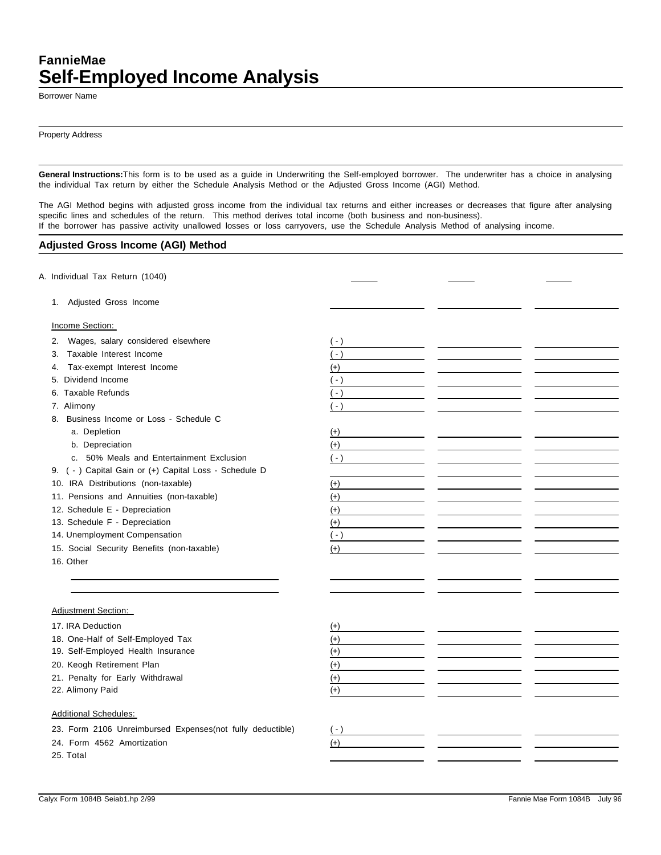## **FannieMae Self-Employed Income Analysis**

Borrower Name

Property Address

**General Instructions:**This form is to be used as a guide in Underwriting the Self-employed borrower. The underwriter has a choice in analysing the individual Tax return by either the Schedule Analysis Method or the Adjusted Gross Income (AGI) Method.

The AGI Method begins with adjusted gross income from the individual tax returns and either increases or decreases that figure after analysing specific lines and schedules of the return. This method derives total income (both business and non-business). If the borrower has passive activity unallowed losses or loss carryovers, use the Schedule Analysis Method of analysing income.

### **Adjusted Gross Income (AGI) Method**

| A. Individual Tax Return (1040)                           |       |  |
|-----------------------------------------------------------|-------|--|
| 1. Adjusted Gross Income                                  |       |  |
| Income Section:                                           |       |  |
| Wages, salary considered elsewhere<br>2.                  | $(-)$ |  |
| Taxable Interest Income<br>3.                             | $(-)$ |  |
| Tax-exempt Interest Income<br>4.                          | $(+)$ |  |
| 5. Dividend Income                                        | $(-)$ |  |
| 6. Taxable Refunds                                        | $(-)$ |  |
| 7. Alimony                                                | $(-)$ |  |
| 8. Business Income or Loss - Schedule C                   |       |  |
| a. Depletion                                              | $(+)$ |  |
| b. Depreciation                                           | $(+)$ |  |
| c. 50% Meals and Entertainment Exclusion                  | $(-)$ |  |
| 9. ( - ) Capital Gain or (+) Capital Loss - Schedule D    |       |  |
| 10. IRA Distributions (non-taxable)                       | $(+)$ |  |
| 11. Pensions and Annuities (non-taxable)                  | $(+)$ |  |
| 12. Schedule E - Depreciation                             | $(+)$ |  |
| 13. Schedule F - Depreciation                             | $(+)$ |  |
| 14. Unemployment Compensation                             | $(-)$ |  |
| 15. Social Security Benefits (non-taxable)                | $(+)$ |  |
| 16. Other                                                 |       |  |
|                                                           |       |  |
| <b>Adjustment Section:</b>                                |       |  |
|                                                           |       |  |
| 17. IRA Deduction                                         | $(+)$ |  |
| 18. One-Half of Self-Employed Tax                         | $(+)$ |  |
| 19. Self-Employed Health Insurance                        | $(+)$ |  |
| 20. Keogh Retirement Plan                                 | $(+)$ |  |
| 21. Penalty for Early Withdrawal                          | $(+)$ |  |
| 22. Alimony Paid                                          | $(+)$ |  |
| <b>Additional Schedules:</b>                              |       |  |
| 23. Form 2106 Unreimbursed Expenses(not fully deductible) | $(-)$ |  |
| 24. Form 4562 Amortization                                | $(+)$ |  |
| 25. Total                                                 |       |  |
|                                                           |       |  |